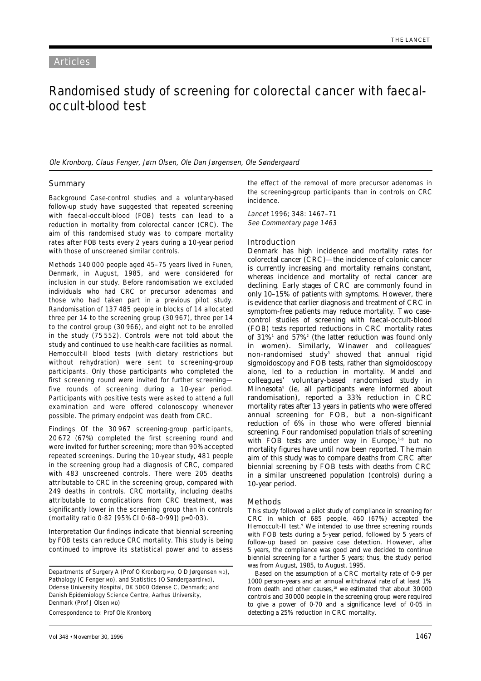# Randomised study of screening for colorectal cancer with faecaloccult-blood test

Ole Kronborg, Claus Fenger, Jørn Olsen, Ole Dan Jørgensen, Ole Søndergaard

# **Summary**

Background Case-control studies and a voluntary-based follow-up study have suggested that repeated screening with faecal-occult-blood (FOB) tests can lead to a reduction in mortality from colorectal cancer (CRC). The aim of this randomised study was to compare mortality rates after FOB tests every 2 years during a 10-year period with those of unscreened similar controls.

Methods 140 000 people aged 45–75 years lived in Funen, Denmark, in August, 1985, and were considered for inclusion in our study. Before randomisation we excluded individuals who had CRC or precursor adenomas and those who had taken part in a previous pilot study. Randomisation of 137 485 people in blocks of 14 allocated three per 14 to the screening group (30 967), three per 14 to the control group (30 966), and eight not to be enrolled in the study (75 552). Controls were not told about the study and continued to use health-care facilities as normal. Hemoccult-II blood tests (with dietary restrictions but without rehydration) were sent to screening-group participants. Only those participants who completed the first screening round were invited for further screening five rounds of screening during a 10-year period. Participants with positive tests were asked to attend a full examination and were offered colonoscopy whenever possible. The primary endpoint was death from CRC.

Findings Of the 30 967 screening-group participants, 20 672 (67%) completed the first screening round and were invited for further screening; more than 90% accepted repeated screenings. During the 10-year study, 481 people in the screening group had a diagnosis of CRC, compared with 483 unscreened controls. There were 205 deaths attributable to CRC in the screening group, compared with 249 deaths in controls. CRC mortality, including deaths attributable to complications from CRC treatment, was significantly lower in the screening group than in controls (mortality ratio 0·82 [95% CI 0·68–0·99]) p=0·03).

Interpretation Our findings indicate that biennial screening by FOB tests can reduce CRC mortality. This study is being continued to improve its statistical power and to assess

Departments of Surgery A (Prof O Kronborg MD, O D Jørgensen MD), Pathology (C Fenger MD), and Statistics (O Søndergaard PhD), Odense University Hospital, DK 5000 Odense C, Denmark; and Danish Epidemiology Science Centre, Aarhus University, Denmark (Prof J Olsen MD)

Correspondence to: Prof Ole Kronborg

the effect of the removal of more precursor adenomas in the screening-group participants than in controls on CRC incidence.

Lancet 1996; 348: 1467–71 See Commentary page 1463

# Introduction

Denmark has high incidence and mortality rates for colorectal cancer (CRC)—the incidence of colonic cancer is currently increasing and mortality remains constant, whereas incidence and mortality of rectal cancer are declining. Early stages of CRC are commonly found in only 10–15% of patients with symptoms. However, there is evidence that earlier diagnosis and treatment of CRC in symptom-free patients may reduce mortality. Two casecontrol studies of screening with faecal-occult-blood (FOB) tests reported reductions in CRC mortality rates of 31%1 and 57%2 (the latter reduction was found only in women). Similarly, Winawer and colleagues' non-randomised study<sup>3</sup> showed that annual rigid sigmoidoscopy and FOB tests, rather than sigmoidoscopy alone, led to a reduction in mortality. Mandel and colleagues' voluntary-based randomised study in Minnesota4 (ie, all participants were informed about randomisation), reported a 33% reduction in CRC mortality rates after 13 years in patients who were offered annual screening for FOB, but a non-significant reduction of 6% in those who were offered biennial screening. Four randomised population trials of screening with FOB tests are under way in Europe,<sup>5-8</sup> but no mortality figures have until now been reported. The main aim of this study was to compare deaths from CRC after biennial screening by FOB tests with deaths from CRC in a similar unscreened population (controls) during a 10-year period.

### Methods

This study followed a pilot study of compliance in screening for CRC in which of 685 people, 460 (67%) accepted the Hemoccult-II test.<sup>9</sup> We intended to use three screening rounds with FOB tests during a 5-year period, followed by 5 years of follow-up based on passive case detection. However, after 5 years, the compliance was good and we decided to continue biennial screening for a further 5 years; thus, the study period was from August, 1985, to August, 1995.

Based on the assumption of a CRC mortality rate of 0·9 per 1000 person-years and an annual withdrawal rate of at least 1% from death and other causes,<sup>10</sup> we estimated that about 30000 controls and 30 000 people in the screening group were required to give a power of 0·70 and a significance level of 0·05 in detecting a 25% reduction in CRC mortality.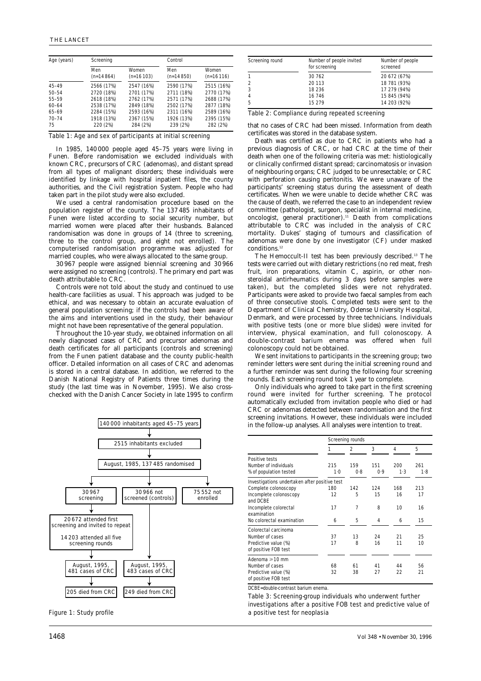| Age (years) | Screening          |                      | Control            |                      |  |
|-------------|--------------------|----------------------|--------------------|----------------------|--|
|             | Men<br>$(n=14864)$ | Women<br>$(n=16103)$ | Men<br>$(n=14850)$ | Women<br>$(n=16116)$ |  |
| $45 - 49$   | 2566 (17%)         | 2547 (16%)           | 2590 (17%)         | 2515 (16%)           |  |
| $50 - 54$   | 2720 (18%)         | 2701 (17%)           | 2711 (18%)         | 2770 (17%)           |  |
| 55-59       | 2618 (18%)         | 2762 (17%)           | 2571 (17%)         | 2688 (17%)           |  |
| $60 - 64$   | 2538 (17%)         | 2849 (18%)           | 2502 (17%)         | 2877 (18%)           |  |
| $65 - 69$   | 2284 (15%)         | 2593 (16%)           | 2311 (16%)         | 2589 (16%)           |  |
| $70 - 74$   | 1918 (13%)         | 2367 (15%)           | 1926 (13%)         | 2395 (15%)           |  |
| 75          | 220 (2%)           | 284 (2%)             | 239 (2%)           | 282 (2%)             |  |

Table 1: Age and sex of participants at initial screening

In 1985, 140 000 people aged 45–75 years were living in Funen. Before randomisation we excluded individuals with known CRC, precursors of CRC (adenomas), and distant spread from all types of malignant disorders; these individuals were identified by linkage with hospital inpatient files, the county authorities, and the Civil registration System. People who had taken part in the pilot study were also excluded.

We used a central randomisation procedure based on the population register of the county. The 137 485 inhabitants of Funen were listed according to social security number, but married women were placed after their husbands. Balanced randomisation was done in groups of 14 (three to screening, three to the control group, and eight not enrolled). The computerised randomisation programme was adjusted for married couples, who were always allocated to the same group.

30 967 people were assigned biennial screening and 30 966 were assigned no screening (controls). The primary end part was death attributable to CRC.

Controls were not told about the study and continued to use health-care facilities as usual. This approach was judged to be ethical, and was necessary to obtain an accurate evaluation of general population screening; if the controls had been aware of the aims and interventions used in the study, their behaviour might not have been representative of the general population.

Throughout the 10-year study, we obtained information on all newly diagnosed cases of CRC and precursor adenomas and death certificates for all participants (controls and screening) from the Funen patient database and the county public-health officer. Detailed information on all cases of CRC and adenomas is stored in a central database. In addition, we referred to the Danish National Registry of Patients three times during the study (the last time was in November, 1995). We also crosschecked with the Danish Cancer Society in late 1995 to confirm



| Screening round | Number of people invited<br>for screening | Number of people<br>screened |
|-----------------|-------------------------------------------|------------------------------|
|                 | 30 762                                    | 20 672 (67%)                 |
|                 | 20 113                                    | 18 781 (93%)                 |
|                 | 18 236                                    | 17 279 (94%)                 |
| 4               | 16 746                                    | 15 845 (94%)                 |
| 5               | 15 279                                    | 14 203 (92%)                 |

Table 2: Compliance during repeated screening

that no cases of CRC had been missed. Information from death certificates was stored in the database system.

Death was certified as due to CRC in patients who had a previous diagnosis of CRC, or had CRC at the time of their death when one of the following criteria was met: histiologically or clinically confirmed distant spread; carcinomatosis or invasion of neighbouring organs; CRC judged to be unresectable; or CRC with perforation causing peritonitis. We were unaware of the participants' screening status during the assessment of death certificates. When we were unable to decide whether CRC was the cause of death, we referred the case to an independent review committee (pathologist, surgeon, specialist in internal medicine, oncologist, general practitioner).<sup>11</sup> Death from complications attributable to CRC was included in the analysis of CRC mortality. Dukes' staging of tumours and classification of adenomas were done by one investigator (CF) under masked conditions.<sup>12</sup>

The Hemoccult-II test has been previously described.13 The tests were carried out with dietary restrictions (no red meat, fresh fruit, iron preparations, vitamin C, aspirin, or other nonsteroidal antirheumatics during 3 days before samples were taken), but the completed slides were not rehydrated. Participants were asked to provide two faecal samples from each of three consecutive stools. Completed tests were sent to the Department of Clinical Chemistry, Odense University Hospital, Denmark, and were processed by three technicians. Individuals with positive tests (one or more blue slides) were invited for interview, physical examination, and full colonoscopy. A double-contrast barium enema was offered when full colonoscopy could not be obtained.

We sent invitations to participants in the screening group; two reminder letters were sent during the initial screening round and a further reminder was sent during the following four screening rounds. Each screening round took 1 year to complete.

Only individuals who agreed to take part in the first screening round were invited for further screening. The protocol automatically excluded from invitation people who died or had CRC or adenomas detected between randomisation and the first screening invitations. However, these individuals were included in the follow-up analyses. All analyses were intention to treat.

|                                               |       | <b>Screening rounds</b> |     |     |     |
|-----------------------------------------------|-------|-------------------------|-----|-----|-----|
|                                               | 1     | 2                       | 3   | 4   | 5   |
| <b>Positive tests</b>                         |       |                         |     |     |     |
| Number of individuals                         | 215   | 159                     | 151 | 200 | 261 |
| % of population tested                        | $1-0$ | 0.8                     | 0.9 | 1.3 | 1.8 |
| Investigations undertaken after positive test |       |                         |     |     |     |
| Complete colonoscopy                          | 180   | 142                     | 124 | 168 | 213 |
| Incomplete colonoscopy                        | 12    | 5                       | 15  | 16  | 17  |
| and DCBF                                      |       |                         |     |     |     |
| Incomplete colorectal                         | 17    | $\overline{7}$          | 8   | 10  | 16  |
| examination                                   |       |                         |     |     |     |
| No colorectal examination                     | 6     | 5                       | 4   | 6   | 15  |
| Colorectal carcinoma                          |       |                         |     |     |     |
| Number of cases                               | 37    | 13                      | 24  | 21  | 25  |
| Predictive value (%)                          | 17    | 8                       | 16  | 11  | 10  |
| of positive FOB test                          |       |                         |     |     |     |
| Adenoma $\geq 10$ mm                          |       |                         |     |     |     |
| Number of cases                               | 68    | 61                      | 41  | 44  | 56  |
| Predictive value (%)                          | 32    | 38                      | 27  | 22  | 21  |
| of positive FOB test                          |       |                         |     |     |     |

DCBE=double-contrast barium enema.

Table 3: Screening-group individuals who underwent further investigations after a positive FOB test and predictive value of Figure 1: Study profile a positive test for neoplasia a positive test for neoplasia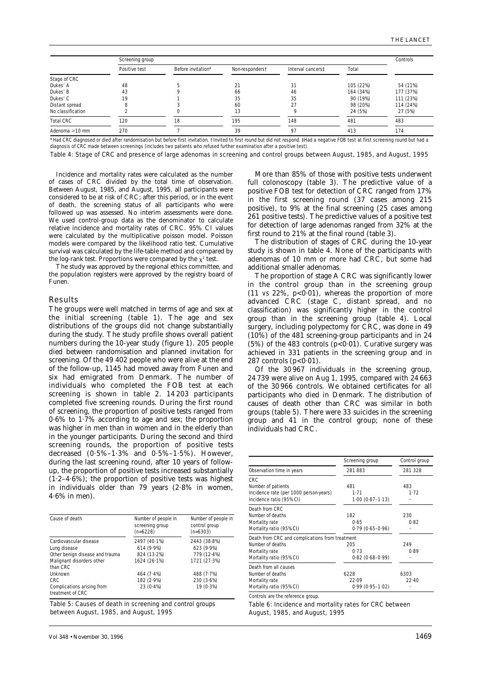|                      | Screening group |                    |                 |                   |           | Controls  |
|----------------------|-----------------|--------------------|-----------------|-------------------|-----------|-----------|
|                      | Positive test   | Before invitation* | Non-responderst | Interval cancerst | Total     |           |
| Stage of CRC         |                 |                    |                 |                   |           |           |
| Dukes' A             | 48              |                    | 21              | 31                | 105 (22%) | 54 (11%)  |
| Dukes' B             | 43              |                    | 66              | 46                | 164 (34%) | 177 (37%) |
| Dukes' C             | 19              |                    | 35              | 35                | 90 (19%)  | 111 (23%) |
| Distant spread       |                 |                    | 60              | 27                | 98 (20%)  | 114 (24%) |
| No classification    |                 |                    | 13              |                   | 24 (5%)   | 27 (5%)   |
| <b>Total CRC</b>     | 120             | 18                 | 195             | 148               | 481       | 483       |
| Adenoma $\geq 10$ mm | 270             |                    | 39              | 97                | 413       | 174       |

diagnosis of CRC made between screenings (includes two patients who refused further examination after a positive test).

Table 4: Stage of CRC and presence of large adenomas in screening and control groups between August, 1985, and August, 1995

Incidence and mortality rates were calculated as the number of cases of CRC divided by the total time of observation. Between August, 1985, and August, 1995, all participants were considered to be at risk of CRC; after this period, or in the event of death, the screening status of all participants who were followed up was assessed. No interim assessments were done. We used control-group data as the denominator to calculate relative incidence and mortality rates of CRC. 95% CI values were calculated by the multiplicative poisson model. Poisson models were compared by the likelihood ratio test. Cumulative survival was calculated by the life-table method and compared by the log-rank test. Proportions were compared by the  $\chi^2$  test.

The study was approved by the regional ethics committee, and the population registers were approved by the registry board of Funen.

### Results

The groups were well matched in terms of age and sex at the initial screening (table 1). The age and sex distributions of the groups did not change substantially during the study. The study profile shows overall patient numbers during the 10-year study (figure 1). 205 people died between randomisation and planned invitation for screening. Of the 49 402 people who were alive at the end of the follow-up, 1145 had moved away from Funen and six had emigrated from Denmark. The number of individuals who completed the FOB test at each screening is shown in table 2. 14 203 participants completed five screening rounds. During the first round of screening, the proportion of positive tests ranged from 0·6% to 1·7% according to age and sex; the proportion was higher in men than in women and in the elderly than in the younger participants. During the second and third screening rounds, the proportion of positive tests decreased (0·5%–1·3% and 0·5%–1·5%). However, during the last screening round, after 10 years of followup, the proportion of positive tests increased substantially  $(1.2-4.6\%)$ ; the proportion of positive tests was highest in individuals older than 79 years (2·8% in women, 4·6% in men).

| Cause of death                                                           | Number of people in<br>screening group<br>$(n=6228)$ | Number of people in<br>control group<br>$(n=6303)$ |
|--------------------------------------------------------------------------|------------------------------------------------------|----------------------------------------------------|
| Cardiovascular disease<br>Lung disease                                   | 2497 (40.1%)<br>614 (9.9%)                           | 2443 (38.8%)<br>623 (9.9%)                         |
| Other benign disease and trauma<br>Malignant disorders other<br>than CRC | 824 (13.2%)<br>1624 (26.1%)                          | 779 (12.4%)<br>1721 (27.3%)                        |
| Unknown<br>CRC<br>Complications arising from<br>treatment of CRC         | 464(7.4%)<br>182 (2.9%)<br>$23(0.4\%)$               | 488 (7.7%)<br>230 (3.6%)<br>19 (0.3%)              |

Table 5: Causes of death in screening and control groups between August, 1985, and August, 1995

More than 85% of those with positive tests underwent full colonoscopy (table 3). The predictive value of a positive FOB test for detection of CRC ranged from 17% in the first screening round (37 cases among 215 positive), to 9% at the final screening (25 cases among 261 positive tests). The predictive values of a positive test for detection of large adenomas ranged from 32% at the first round to 21% at the final round (table 3).

The distribution of stages of CRC during the 10-year study is shown in table 4. None of the participants with adenomas of 10 mm or more had CRC, but some had additional smaller adenomas.

The proportion of stage A CRC was significantly lower in the control group than in the screening group  $(11 \text{ vs } 22\%, \text{ p} < 0.01)$ , whereas the proportion of more advanced CRC (stage C, distant spread, and no classification) was significantly higher in the control group than in the screening group (table 4). Local surgery, including polypectomy for CRC, was done in 49 (10%) of the 481 screening-group participants and in 24 (5%) of the 483 controls ( $p<0.01$ ). Curative surgery was achieved in 331 patients in the screening group and in 287 controls  $(p<0.01)$ .

Of the 30 967 individuals in the screening group, 24 739 were alive on Aug 1, 1995, compared with 24 663 of the 30 966 controls. We obtained certificates for all participants who died in Denmark. The distribution of causes of death other than CRC was similar in both groups (table 5). There were 33 suicides in the screening group and 41 in the control group; none of these individuals had CRC.

|                                                 | Screening group     | Control group |
|-------------------------------------------------|---------------------|---------------|
| Observation time in years                       | 281883              | 281 328       |
| <b>CRC</b>                                      |                     |               |
| Number of patients                              | 481                 | 483           |
| Incidence rate (per 1000 person-years)          | 1.71                | 1.72          |
| Incidence ratio (95% CI)                        | $1.00(0.87 - 1.13)$ |               |
| Death from CRC                                  |                     |               |
| Number of deaths                                | 182                 | 230           |
| Mortality rate                                  | 0.65                | 0.82          |
| Mortality ratio (95% CI)                        | $0.79(0.65 - 0.96)$ |               |
| Death from CRC and complications from treatment |                     |               |
| Number of deaths                                | 205                 | 249           |
| Mortality rate                                  | 0.73                | 0.89          |
| Mortality ratio (95% CI)                        | $0.82(0.68 - 0.99)$ |               |
| Death from all causes                           |                     |               |
| Number of deaths                                | 6228                | 6303          |
| Mortality rate                                  | 22.09               | 22.40         |
| Mortality ratio (95% CI)                        | $0.99(0.95 - 1.02)$ |               |

Controls are the reference group.

Table 6: Incidence and mortality rates for CRC between August, 1985, and August, 1995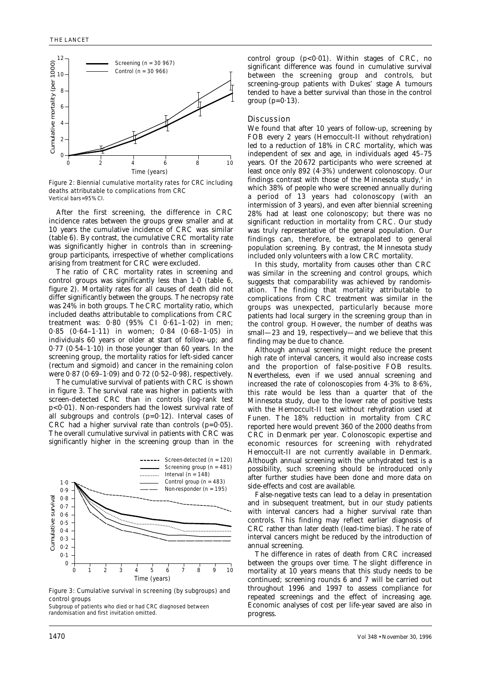

Figure 2: Biennial cumulative mortality rates for CRC including deaths attributable to complications from CRC Vertical bars=95% CI.

After the first screening, the difference in CRC incidence rates between the groups grew smaller and at 10 years the cumulative incidence of CRC was similar (table 6). By contrast, the cumulative CRC mortality rate was significantly higher in controls than in screeninggroup participants, irrespective of whether complications arising from treatment for CRC were excluded.

The ratio of CRC mortality rates in screening and control groups was significantly less than 1·0 (table 6, figure 2). Mortality rates for all causes of death did not differ significantly between the groups. The necropsy rate was 24% in both groups. The CRC mortality ratio, which included deaths attributable to complications from CRC treatment was: 0·80 (95% CI 0·61–1·02) in men; 0·85 (0·64–1·11) in women; 0·84 (0·68–1·05) in individuals 60 years or older at start of follow-up; and 0·77 (0·54–1·10) in those younger than 60 years. In the screening group, the mortality ratios for left-sided cancer (rectum and sigmoid) and cancer in the remaining colon were 0·87 (0·69–1·09) and 0·72 (0·52–0·98), respectively.

The cumulative survival of patients with CRC is shown in figure 3. The survival rate was higher in patients with screen-detected CRC than in controls (log-rank test p<0·01). Non-responders had the lowest survival rate of all subgroups and controls  $(p=0.12)$ . Interval cases of CRC had a higher survival rate than controls  $(p=0.05)$ . The overall cumulative survival in patients with CRC was significantly higher in the screening group than in the



Figure 3: Cumulative survival in screening (by subgroups) and control groups

Subgroup of patients who died or had CRC diagnosed between randomisation and first invitation omitted.

control group  $(p<0.01)$ . Within stages of CRC, no significant difference was found in cumulative survival between the screening group and controls, but screening-group patients with Dukes' stage A tumours tended to have a better survival than those in the control group  $(p=0.13)$ .

# Discussion

We found that after 10 years of follow-up, screening by FOB every 2 years (Hemoccult-II without rehydration) led to a reduction of 18% in CRC mortality, which was independent of sex and age, in individuals aged 45–75 years. Of the 20 672 participants who were screened at least once only 892 (4·3%) underwent colonoscopy. Our findings contrast with those of the Minnesota study.<sup>4</sup> in which 38% of people who were screened annually during a period of 13 years had colonoscopy (with an intermission of 3 years), and even after biennial screening 28% had at least one colonoscopy; but there was no significant reduction in mortality from CRC. Our study was truly representative of the general population. Our findings can, therefore, be extrapolated to general population screening. By contrast, the Minnesota study included only volunteers with a low CRC mortality.

In this study, mortality from causes other than CRC was similar in the screening and control groups, which suggests that comparability was achieved by randomisation. The finding that mortality attributable to complications from CRC treatment was similar in the groups was unexpected, particularly because more patients had local surgery in the screening group than in the control group. However, the number of deaths was small—23 and 19, respectively—and we believe that this finding may be due to chance.

Although annual screening might reduce the present high rate of interval cancers, it would also increase costs and the proportion of false-positive FOB results. Nevertheless, even if we used annual screening and increased the rate of colonoscopies from 4·3% to 8·6%, this rate would be less than a quarter that of the Minnesota study, due to the lower rate of positive tests with the Hemoccult-II test without rehydration used at Funen. The 18% reduction in mortality from CRC reported here would prevent 360 of the 2000 deaths from CRC in Denmark per year. Colonoscopic expertise and economic resources for screening with rehydrated Hemoccult-II are not currently available in Denmark. Although annual screening with the unhydrated test is a possibility, such screening should be introduced only after further studies have been done and more data on side-effects and cost are available. 22. Excess the non-tective of the method of the second free of the second free of the second free of the second free of the second free of the second free of the second free of the second free of the second free of the s

False-negative tests can lead to a delay in presentation and in subsequent treatment, but in our study patients with interval cancers had a higher survival rate than controls. This finding may reflect earlier diagnosis of CRC rather than later death (lead-time bias). The rate of interval cancers might be reduced by the introduction of annual screening.

The difference in rates of death from CRC increased between the groups over time. The slight difference in mortality at 10 years means that this study needs to be continued; screening rounds 6 and 7 will be carried out throughout 1996 and 1997 to assess compliance for repeated screenings and the effect of increasing age. Economic analyses of cost per life-year saved are also in progress.